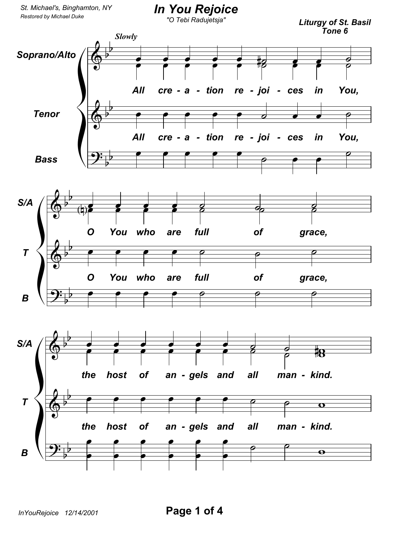*St. Michael's, Binghamton, NY*

## *In You Rejoice*

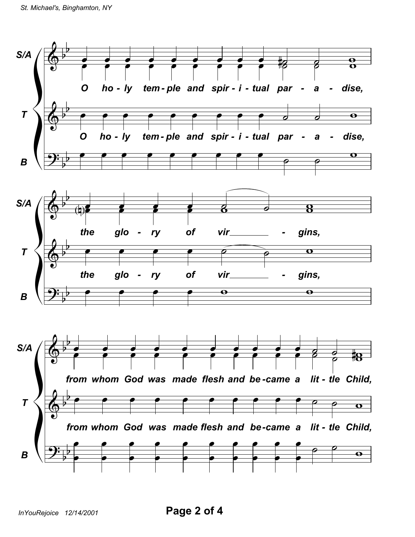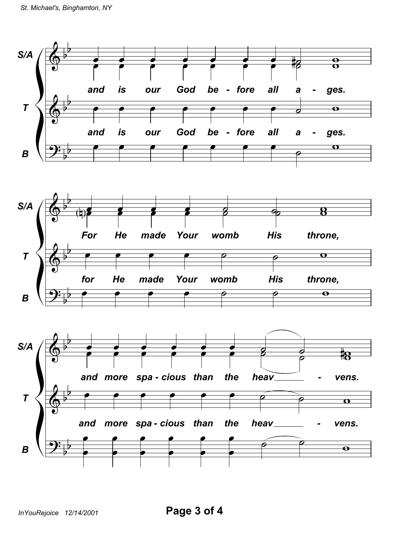